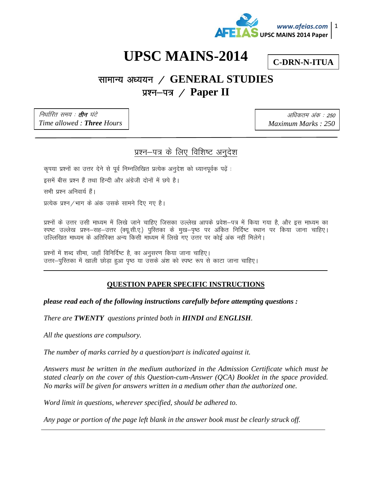

# **UPSC MAINS-2014**

**C-DRN-N-ITUA** 

## सामान्य अध्ययन / GENERAL STUDIES प्रश्न–पत्र / Paper II

निर्धारित समय : **तीन** घंटे Time allowed: Three Hours

अधिकतम अंक : 250 Maximum Marks: 250

## प्रश्न-पत्र के लिए विशिष्ट अनुदेश

कृपया प्रश्नों का उत्तर देने से पूर्व निम्नलिखित प्रत्येक अनुदेश को ध्यानपूर्वक पढ़ें :

इसमें बीस प्रश्न हैं तथा हिन्दी और अंग्रेजी दोनों में छपे है।

सभी प्रश्न अनिवार्य हैं।

प्रत्येक प्रश्न / भाग के अंक उसके सामने दिए गए है।

प्रश्नों के उत्तर उसी माध्यम में लिखे जाने चाहिए जिसका उल्लेख आपके प्रवेश–पत्र में किया गया है, और इस माध्यम का स्पष्ट उल्लेख प्रश्न–सह–उत्तर (क्यू.सी.ए.) पुस्तिका के मुख–पृष्ठ पर अंकित निर्दिष्ट स्थान पर किया जाना चाहिए। उल्लिखित माध्यम के अतिरिक्त अन्य किसी माध्यम में लिखे गए उत्तर पर कोई अंक नहीं मिलेगे।

प्रश्नों में शब्द सीमा, जहाँ विनिर्दिष्ट है, का अनुसरण किया जाना चाहिए। उत्तर-पुरितका में खाली छोड़ा हुआ पृष्ठ या उसके अंश को स्पष्ट रूप से काटा जाना चाहिए।

### **QUESTION PAPER SPECIFIC INSTRUCTIONS**

please read each of the following instructions carefully before attempting questions:

There are TWENTY questions printed both in HINDI and ENGLISH.

All the questions are compulsory.

The number of marks carried by a question/part is indicated against it.

Answers must be written in the medium authorized in the Admission Certificate which must be stated clearly on the cover of this Question-cum-Answer (QCA) Booklet in the space provided. No marks will be given for answers written in a medium other than the authorized one.

Word limit in questions, wherever specified, should be adhered to.

Any page or portion of the page left blank in the answer book must be clearly struck off.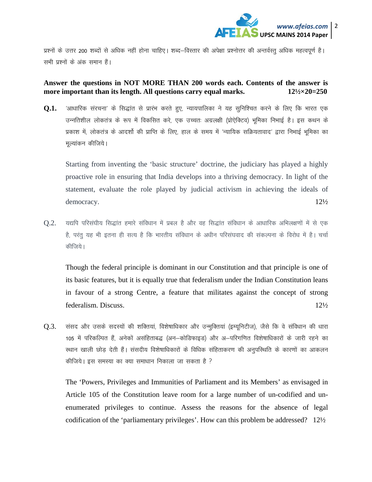

प्रश्नों के उत्तर 200 शब्दों से अधिक नहीं होना चाहिए। शब्द–विस्तार की अपेक्षा प्रश्नोत्तर की अन्तर्वस्तु अधिक महत्वपूर्ण है। सभी प्रश्नों के अंक समान हैं।

#### **Answer the questions in NOT MORE THAN 200 words each. Contents of the answer is more important than its length. All questions carry equal marks.** 12<sup>1</sup>/2×20=250

**Q.1.** आधारिक संरचना' के सिद्धांत से प्रारंभ करते हुए, न्यायपालिका ने यह सुनिश्चित करने के लिए कि भारत एक उन्नतिशील लोकतंत्र के रूप में विकसित करे, एक उच्चतः अग्रलक्षी (प्रोऐक्टिव) भूमिका निभाई है। इस कथन के प्रकाश में, लोकतंत्र के आदर्शो की प्राप्ति के लिए, हाल के समय में 'न्यायिक सक्रियतावाद' द्वारा निभाई भूमिका का मूल्यांकन कीजिये।

Starting from inventing the 'basic structure' doctrine, the judiciary has played a highly proactive role in ensuring that India develops into a thriving democracy. In light of the statement, evaluate the role played by judicial activism in achieving the ideals of democracy. 12½

 $0.2$ . यद्यपि परिसंघीय सिद्धांत हमारे संविधान में प्रबल है और वह सिद्धांत संविधान के आधारिक अभिलक्षणों में से एक है, परंतु यह भी इतना ही सत्य है कि भारतीय संविधान के अधीन परिसंघवाद की संकल्पना के विरोध में है। चर्चा कीजिये।

Though the federal principle is dominant in our Constitution and that principle is one of its basic features, but it is equally true that federalism under the Indian Constitution leans in favour of a strong Centre, a feature that militates against the concept of strong federalism. Discuss. 12½

 $Q.3$ . संसद और उसके सदस्यों की शक्तियां, विशेषाधिकार और उन्मूक्तियां (इम्यूनिटीज), जैसे कि वे संविधान की धारा 105 में परिकल्पित हैं, अनेकों असंहिताबद्ध (अन–कोडिफाइड) और अ–परिगणित विशेषाधिकारों के जारी रहने का स्थान खाली छोड देती हैं। संसदीय विशेषाधिकारों के विधिक संहिताकरण की अनुपस्थिति के कारणों का आकलन कीजिये। इस समस्या का क्या समाधान निकाला जा सकता है ?

The 'Powers, Privileges and Immunities of Parliament and its Members' as envisaged in Article 105 of the Constitution leave room for a large number of un-codified and unenumerated privileges to continue. Assess the reasons for the absence of legal codification of the 'parliamentary privileges'. How can this problem be addressed? 12½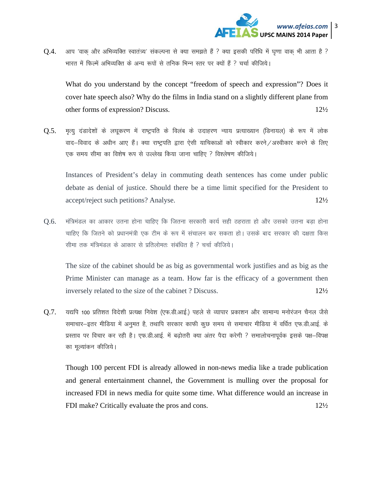

 $Q.4$ . आप 'वाक और अभिव्यक्ति स्वातंत्र्य' संकल्पना से क्या समझते हैं ? क्या इसकी परिधि में घृणा वाक भी आता है ? भारत में फिल्में अभिव्यक्ति के अन्य रूपों से तनिक भिन्न स्तर पर क्यों हैं ? चर्चा कीजिये।

What do you understand by the concept "freedom of speech and expression"? Does it cover hate speech also? Why do the films in India stand on a slightly different plane from other forms of expression? Discuss. 12½

 $Q.5$ . मृत्यू दंडादेशों के लघूकरण में राष्ट्रपति के विलंब के उदाहरण न्याय प्रत्याख्यान (डिनायल) के रूप में लोक वाद–विवाद के अधीन आए हैं। क्या राष्ट्रपति द्वारा ऐसी याचिकाओं को स्वीकार करने /अस्वीकार करने के लिए एक समय सीमा का विशेष रूप से उल्लेख किया जाना चाहिए ? विश्लेषण कीजिये।

Instances of President's delay in commuting death sentences has come under public debate as denial of justice. Should there be a time limit specified for the President to accept/reject such petitions? Analyse. 12½

 $0.6$ . मंत्रिमंडल का आकार उतना होना चाहिए कि जितना सरकारी कार्य सही ठहराता हो और उसको उतना बड़ा होना चाहिए कि जितने को प्रधानमंत्री एक टीम के रूप में संचालन कर सकता हो। उसके बाद सरकार की दक्षता किस सीमा तक मंत्रिमंडल के आकार से प्रतिलोमतः संबंधित है ? चर्चा कीजिये।

 The size of the cabinet should be as big as governmental work justifies and as big as the Prime Minister can manage as a team. How far is the efficacy of a government then inversely related to the size of the cabinet ? Discuss.  $12\frac{1}{2}\sqrt{2}$ 

 $Q.7$ . यद्यपि 100 प्रतिशत विदेशी प्रत्यक्ष निवेश (एफ.डी.आई.) पहले से व्यापार प्रकाशन और सामान्य मनोरंजन चैनल जैसे समाचार-इतर मीडिया में अनुमत है, तथापि सरकार काफी कुछ समय से समाचार मीडिया में वर्धित एफ.डी.आई. के प्रस्ताव पर विचार कर रही है। एफ.डी.आई. में बढोतरी क्या अंतर पैदा करेगी ? समालोचनापूर्वक इसके पक्ष—विपक्ष का मूल्यांकन कीजिये।

Though 100 percent FDI is already allowed in non-news media like a trade publication and general entertainment channel, the Government is mulling over the proposal for increased FDI in news media for quite some time. What difference would an increase in FDI make? Critically evaluate the pros and cons. 12½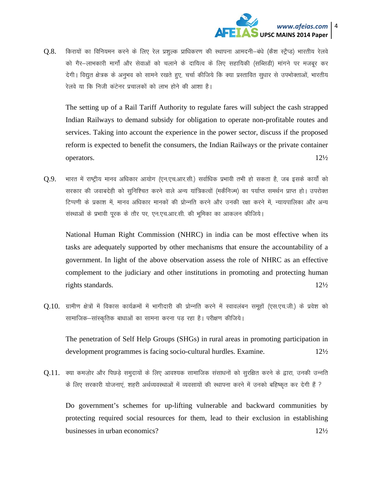

 $\Omega.8.$  किरायों का विनियमन करने के लिए रेल प्रशल्क प्राधिकरण की स्थापना आमदनी–बंधे (कैश स्टैप्ड) भारतीय रेलवे को गैर-लाभकारी मार्गों और सेवाओं को चलाने के दायित्व के लिए सहायिकी (सब्सिडी) मांगने पर मजबूर कर देगी। विद्युत क्षेत्रक के अनुभव को सामने रखते हुए, चर्चा कीजिये कि क्या प्रस्तावित सुधार से उपभोक्ताओं, भारतीय रेलवे या कि निजी कंटेनर प्रचालकों को लाभ होने की आशा है।

The setting up of a Rail Tariff Authority to regulate fares will subject the cash strapped Indian Railways to demand subsidy for obligation to operate non-profitable routes and services. Taking into account the experience in the power sector, discuss if the proposed reform is expected to benefit the consumers, the Indian Railways or the private container operators.  $12\frac{1}{2}$ 

 $Q.9$ . भारत में राष्ट्रीय मानव अधिकार आयोग (एन.एच.आर.सी.) सर्वाधिक प्रभावी तभी हो सकता है, जब इसके कार्यों को सरकार की जवाबदेही को सुनिश्चित करने वाले अन्य यांत्रिकत्वों (मकैनिज्म) का पर्याप्त समर्थन प्राप्त हो। उपरोक्त टिप्पणी के प्रकाश में, मानव अधिकार मानकों की प्रोन्नति करने और उनकी रक्षा करने में, न्यायपालिका और अन्य संस्थाओं के प्रभावी पूरक के तौर पर, एन.एच.आर.सी. की भूमिका का आकलन कीजिये।

 National Human Right Commission (NHRC) in india can be most effective when its tasks are adequately supported by other mechanisms that ensure the accountability of a government. In light of the above observation assess the role of NHRC as an effective complement to the judiciary and other institutions in promoting and protecting human rights standards.  $12\frac{1}{2}$ 

 $Q.10$ . ग्रामीण क्षेत्रों में विकास कार्यक्रमों में भागीदारी की प्रोन्नति करने में स्वावलंबन समूहों (एस.एच.जी.) के प्रवेश को सामाजिक–सांस्कृतिक बाधाओं का सामना करना पड़ रहा है। परीक्षण कीजिये।

The penetration of Self Help Groups (SHGs) in rural areas in promoting participation in development programmes is facing socio-cultural hurdles. Examine. 12½

 $0.11$ . क्या कमजोर और पिछडे समुदायों के लिए आवश्यक सामाजिक संसाधनों को सुरक्षित करने के द्वारा, उनकी उन्नति के लिए सरकारी योजनाएं, शहरी अर्थव्यवस्थाओं में व्यवसायों की स्थापना करने में उनको बहिष्कृत कर देगी हैं ?

Do government's schemes for up-lifting vulnerable and backward communities by protecting required social resources for them, lead to their exclusion in establishing businesses in urban economics? 12½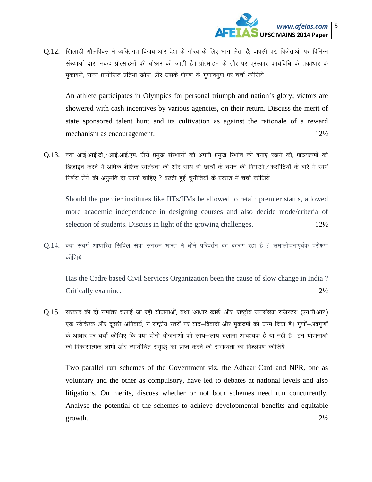

 $Q.12$ . खिलाडी ओलंपिक्स में व्यक्तिगत विजय और देश के गौरव के लिए भाग लेता है; वापसी पर, विजेताओं पर विभिन्न संस्थाओं द्वारा नकद प्रोत्साहनों की बौछार की जाती है। प्रोत्साहन के तौर पर पुरस्कार कार्यविधि के तर्काधार के मुकाबले, राज्य प्रायोजित प्रतिभा खोज और उसके पोषण के गुणावगुण पर चर्चा कीजिये।

An athlete participates in Olympics for personal triumph and nation's glory; victors are showered with cash incentives by various agencies, on their return. Discuss the merit of state sponsored talent hunt and its cultivation as against the rationale of a reward mechanism as encouragement. 12½

 $0.13$ . क्या आई.आई.टी /आई.आई.एम. जैसे प्रमुख संस्थानों को अपनी प्रमुख स्थिति को बनाए रखने की, पाठयक्रमों को डिजाइन करने में अधिक शैक्षिक स्वतंत्रता की और साथ ही छात्रों के चयन की विधाओं / कसौटियों के बारे में स्वयं निर्णय लेने की अनुमति दी जानी चाहिए ? बढ़ती हुई चुनौतियों के प्रकाश में चर्चा कीजिये।

Should the premier institutes like IITs/IIMs be allowed to retain premier status, allowed more academic independence in designing courses and also decide mode/criteria of selection of students. Discuss in light of the growing challenges.  $12\frac{1}{2}\sqrt{\frac{1}{2}}$ 

 $0.14$ . क्या संवर्ग आधारित सिविल सेवा संगठन भारत में धीमे परिवर्तन का कारण रहा है ? समालोचनापूर्वक परीक्षण कीजिये।

 Has the Cadre based Civil Services Organization been the cause of slow change in India ? Critically examine. 12½

 $0.15$ . सरकार की दो समांतर चलाई जा रही योजनाओं, यथा 'आधार कार्ड' और 'राष्ट्रीय जनसंख्या रजिस्टर' (एन.पी.आर.) एक स्वैच्छिक और दूसरी अनिवार्य, ने राष्ट्रीय स्तरों पर वाद—विवादों और मुकदमों को जन्म दिया है। गूणों—अवगूणों के आधार पर चर्चा कीजिए कि क्या दोनों योजनाओं को साथ—साथ चलाना आवश्यक है या नहीं है। इन योजनाओं की विकासात्मक लाभों और न्यायोचित संवृद्धि को प्राप्त करने की संभाव्यता का विश्लेषण कीजिये।

Two parallel run schemes of the Government viz. the Adhaar Card and NPR, one as voluntary and the other as compulsory, have led to debates at national levels and also litigations. On merits, discuss whether or not both schemes need run concurrently. Analyse the potential of the schemes to achieve developmental benefits and equitable growth.  $12\frac{1}{2}$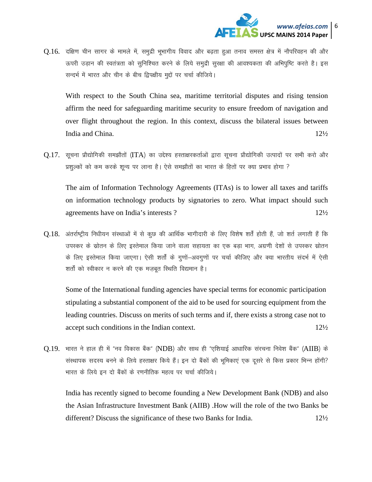

 $0.16$ . दक्षिण चीन सागर के मामले में, समुद्री भूभागीय विवाद और बढता हुआ तनाव समस्त क्षेत्र में नौपरिवहन की और ऊपरी उड़ान की स्वतंत्रता को सुनिश्चित करने के लिये समुद्री सुरक्षा की आवश्यकता की अभिपुष्टि करते है। इस सन्दर्भ में भारत और चीन के बीच द्विपक्षीय मुद्दों पर चर्चा कीजिये।

With respect to the South China sea, maritime territorial disputes and rising tension affirm the need for safeguarding maritime security to ensure freedom of navigation and over flight throughout the region. In this context, discuss the bilateral issues between India and China.  $12\frac{1}{2}$ 

 $0.17$ . सूचना प्रौद्योगिकी समझौतों (ITA) का उद्देश्य हस्ताक्षरकर्ताओं द्वारा सूचना प्रौद्योगिकी उत्पादों पर सभी करो और प्रशुल्कों को कम करके शुन्य पर लाना है। ऐसे समझौतों का भारत के हितों पर क्या प्रभाव होगा ?

The aim of Information Technology Agreements (ITAs) is to lower all taxes and tariffs on information technology products by signatories to zero. What impact should such agreements have on India's interests?  $12\frac{1}{2}$ 

Q.18. अंतर्राष्ट्रीय निधीयन संस्थाओं में से कुछ की आर्थिक भागीदारी के लिए विशेष शर्तें होती हैं, जो शर्त लगाती हैं कि उपस्कर के स्रोतन के लिए इस्तेमाल किया जाने वाला सहायता का एक बड़ा भाग, अग्रणी देशों से उपस्कर स्रोतन के लिए इस्तेमाल किया जाएगा। ऐसी शर्तों के गुणों—अवगुणों पर चर्चा कीजिए और क्या भारतीय संदर्भ में ऐसी शर्तों को स्वीकार न करने की एक मजबूत स्थिति विद्यमान है।

Some of the International funding agencies have special terms for economic participation stipulating a substantial component of the aid to be used for sourcing equipment from the leading countries. Discuss on merits of such terms and if, there exists a strong case not to accept such conditions in the Indian context.  $12\frac{1}{2}$ 

 $0.19$ . भारत ने हाल ही में "नव विकास बैंक" (NDB) और साथ ही "एशियाई आधारिक संरचना निवेश बैंक" (AIIB) के संस्थापक सदस्य बनने के लिये हस्ताक्षर किये हैं। इन दो बैंकों की भुमिकाएं एक दूसरे से किस प्रकार भिन्न होंगी? भारत के लिये इन दो बैंकों के रणनीतिक महत्व पर चर्चा कीजिये।

India has recently signed to become founding a New Development Bank (NDB) and also the Asian Infrastructure Investment Bank (AIIB). How will the role of the two Banks be different? Discuss the significance of these two Banks for India.  $12\frac{1}{2}$